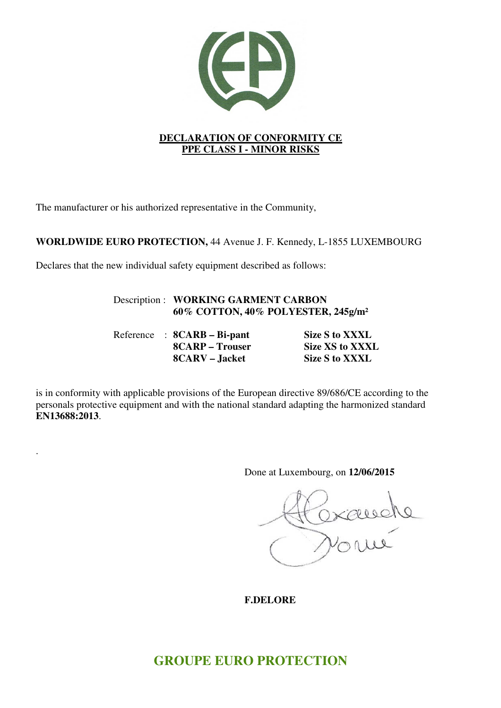

The manufacturer or his authorized representative in the Community,

# **WORLDWIDE EURO PROTECTION,** 44 Avenue J. F. Kennedy, L-1855 LUXEMBOURG

Declares that the new individual safety equipment described as follows:

.

# Description : **WORKING GARMENT CARBON 60% COTTON, 40% POLYESTER, 245g/m²**

Reference : **8CARB – Bi-pant** Size S to XXXL **8CARP** – Trouser Size XS to XXXL 8CARV – Jacket Size S to XXXL

is in conformity with applicable provisions of the European directive 89/686/CE according to the personals protective equipment and with the national standard adapting the harmonized standard **EN13688:2013**.

Done at Luxembourg, on **12/06/2015** 

Oxausel

 **F.DELORE** 

# **GROUPE EURO PROTECTION**